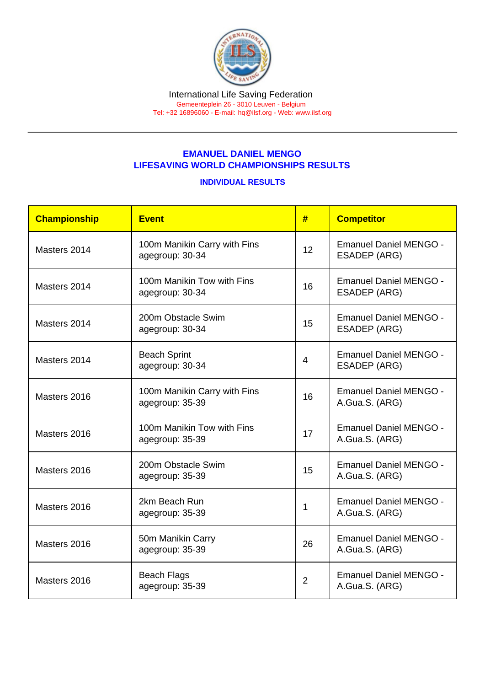## EMANUEL DANIEL MENGO LIFESAVING WORLD CHAMPIONSHIPS RESULTS

## INDIVIDUAL RESULTS

| Championship | Event                                           | #              | <b>Competitor</b>                                    |  |
|--------------|-------------------------------------------------|----------------|------------------------------------------------------|--|
| Masters 2014 | 100m Manikin Carry with Fins<br>agegroup: 30-34 | 12             | <b>Emanuel Daniel MENGO -</b><br>ESADEP (ARG)        |  |
| Masters 2014 | 100m Manikin Tow with Fins<br>agegroup: 30-34   | 16             | <b>Emanuel Daniel MENGO -</b><br>ESADEP (ARG)        |  |
| Masters 2014 | 200m Obstacle Swim<br>agegroup: 30-34           | 15             | <b>Emanuel Daniel MENGO -</b><br><b>ESADEP (ARG)</b> |  |
| Masters 2014 | <b>Beach Sprint</b><br>agegroup: 30-34          | 4              | <b>Emanuel Daniel MENGO -</b><br><b>ESADEP (ARG)</b> |  |
| Masters 2016 | 100m Manikin Carry with Fins<br>agegroup: 35-39 | 16             | <b>Emanuel Daniel MENGO -</b><br>A.Gua.S. (ARG)      |  |
| Masters 2016 | 100m Manikin Tow with Fins<br>agegroup: 35-39   | 17             | <b>Emanuel Daniel MENGO -</b><br>A.Gua.S. (ARG)      |  |
| Masters 2016 | 200m Obstacle Swim<br>agegroup: 35-39           | 15             | <b>Emanuel Daniel MENGO -</b><br>A.Gua.S. (ARG)      |  |
| Masters 2016 | 2km Beach Run<br>agegroup: 35-39                | 1              | <b>Emanuel Daniel MENGO -</b><br>A.Gua.S. (ARG)      |  |
| Masters 2016 | 50m Manikin Carry<br>agegroup: 35-39            | 26             | <b>Emanuel Daniel MENGO -</b><br>A.Gua.S. (ARG)      |  |
| Masters 2016 | <b>Beach Flags</b><br>agegroup: 35-39           | $\overline{2}$ | <b>Emanuel Daniel MENGO -</b><br>A.Gua.S. (ARG)      |  |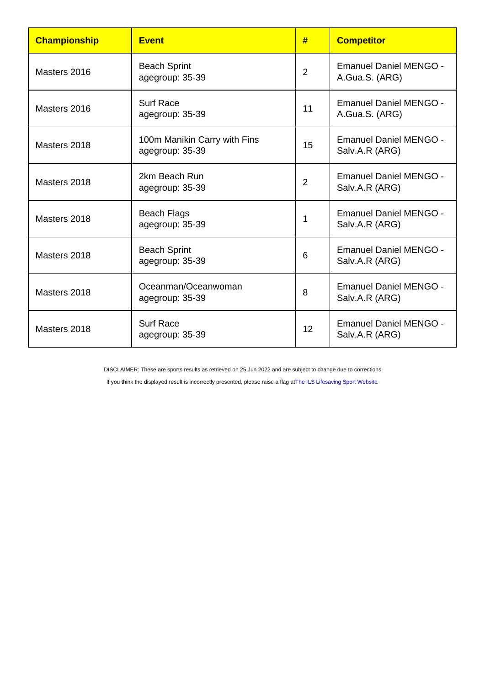| Championship | <b>Event</b>                                    | #              | <b>Competitor</b>                               |
|--------------|-------------------------------------------------|----------------|-------------------------------------------------|
| Masters 2016 | <b>Beach Sprint</b><br>agegroup: 35-39          | $\overline{2}$ | <b>Emanuel Daniel MENGO -</b><br>A.Gua.S. (ARG) |
| Masters 2016 | <b>Surf Race</b><br>agegroup: 35-39             | 11             | <b>Emanuel Daniel MENGO -</b><br>A.Gua.S. (ARG) |
| Masters 2018 | 100m Manikin Carry with Fins<br>agegroup: 35-39 | 15             | <b>Emanuel Daniel MENGO -</b><br>Salv.A.R (ARG) |
| Masters 2018 | 2km Beach Run<br>agegroup: 35-39                | $\overline{2}$ | <b>Emanuel Daniel MENGO -</b><br>Salv.A.R (ARG) |
| Masters 2018 | <b>Beach Flags</b><br>agegroup: 35-39           | 1              | <b>Emanuel Daniel MENGO -</b><br>Salv.A.R (ARG) |
| Masters 2018 | <b>Beach Sprint</b><br>agegroup: 35-39          | 6              | <b>Emanuel Daniel MENGO -</b><br>Salv.A.R (ARG) |
| Masters 2018 | Oceanman/Oceanwoman<br>agegroup: 35-39          | 8              | <b>Emanuel Daniel MENGO -</b><br>Salv.A.R (ARG) |
| Masters 2018 | <b>Surf Race</b><br>agegroup: 35-39             | 12             | <b>Emanuel Daniel MENGO -</b><br>Salv.A.R (ARG) |

DISCLAIMER: These are sports results as retrieved on 25 Jun 2022 and are subject to change due to corrections.

If you think the displayed result is incorrectly presented, please raise a flag at [The ILS Lifesaving Sport Website.](https://sport.ilsf.org)